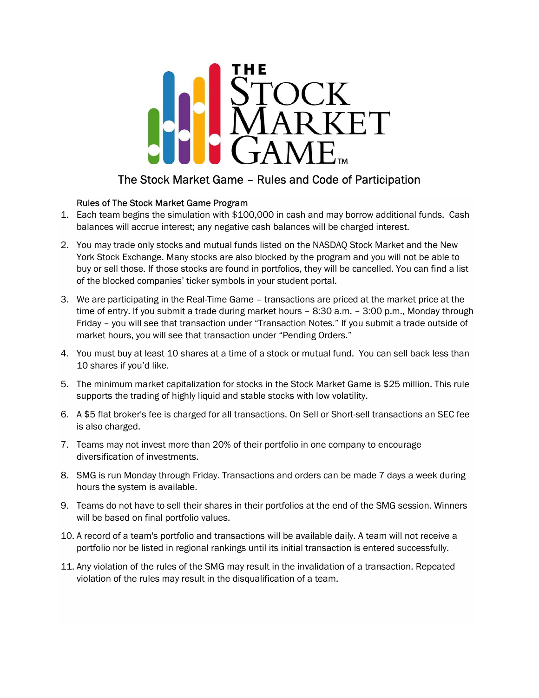

## The Stock Market Game – Rules and Code of Participation

## Rules of The Stock Market Game Program

- 1. Each team begins the simulation with \$100,000 in cash and may borrow additional funds. Cash balances will accrue interest; any negative cash balances will be charged interest.
- 2. You may trade only stocks and mutual funds listed on the NASDAQ Stock Market and the New York Stock Exchange. Many stocks are also blocked by the program and you will not be able to buy or sell those. If those stocks are found in portfolios, they will be cancelled. You can find a list of the blocked companies' ticker symbols in your student portal.
- 3. We are participating in the Real-Time Game transactions are priced at the market price at the time of entry. If you submit a trade during market hours – 8:30 a.m. – 3:00 p.m., Monday through Friday – you will see that transaction under "Transaction Notes." If you submit a trade outside of market hours, you will see that transaction under "Pending Orders."
- 4. You must buy at least 10 shares at a time of a stock or mutual fund. You can sell back less than 10 shares if you'd like.
- 5. The minimum market capitalization for stocks in the Stock Market Game is \$25 million. This rule supports the trading of highly liquid and stable stocks with low volatility.
- 6. A \$5 flat broker's fee is charged for all transactions. On Sell or Short-sell transactions an SEC fee is also charged.
- 7. Teams may not invest more than 20% of their portfolio in one company to encourage diversification of investments.
- 8. SMG is run Monday through Friday. Transactions and orders can be made 7 days a week during hours the system is available.
- 9. Teams do not have to sell their shares in their portfolios at the end of the SMG session. Winners will be based on final portfolio values.
- 10. A record of a team's portfolio and transactions will be available daily. A team will not receive a portfolio nor be listed in regional rankings until its initial transaction is entered successfully.
- 11. Any violation of the rules of the SMG may result in the invalidation of a transaction. Repeated violation of the rules may result in the disqualification of a team.